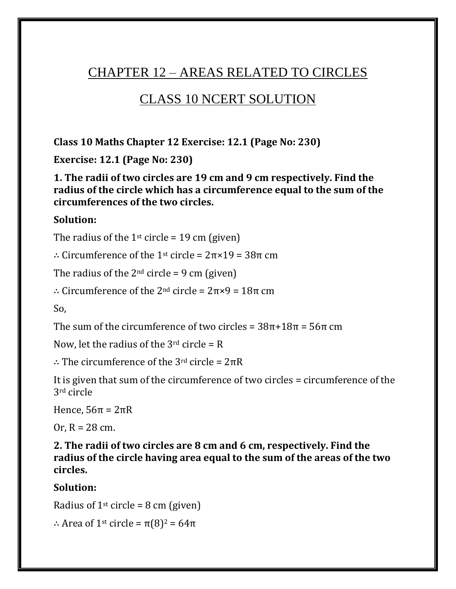# CHAPTER 12 – AREAS RELATED TO CIRCLES

# CLASS 10 NCERT SOLUTION

**Class 10 Maths Chapter 12 Exercise: 12.1 (Page No: 230)**

**Exercise: 12.1 (Page No: 230)**

**1. The radii of two circles are 19 cm and 9 cm respectively. Find the radius of the circle which has a circumference equal to the sum of the circumferences of the two circles.**

#### **Solution:**

The radius of the 1<sup>st</sup> circle = 19 cm (given)

∴ Circumference of the 1st circle = 2π×19 = 38π cm

The radius of the  $2<sup>nd</sup>$  circle = 9 cm (given)

∴ Circumference of the 2nd circle = 2π×9 = 18π cm

So,

The sum of the circumference of two circles =  $38\pi+18\pi=56\pi$  cm

Now, let the radius of the  $3<sup>rd</sup>$  circle = R

∴ The circumference of the 3rd circle = 2πR

It is given that sum of the circumference of two circles = circumference of the 3rd circle

Hence,  $56π = 2πR$ 

Or,  $R = 28$  cm.

**2. The radii of two circles are 8 cm and 6 cm, respectively. Find the radius of the circle having area equal to the sum of the areas of the two circles.**

**Solution:**

Radius of  $1<sup>st</sup>$  circle = 8 cm (given)

∴ Area of 1<sup>st</sup> circle =  $\pi(8)^2$  = 64 $\pi$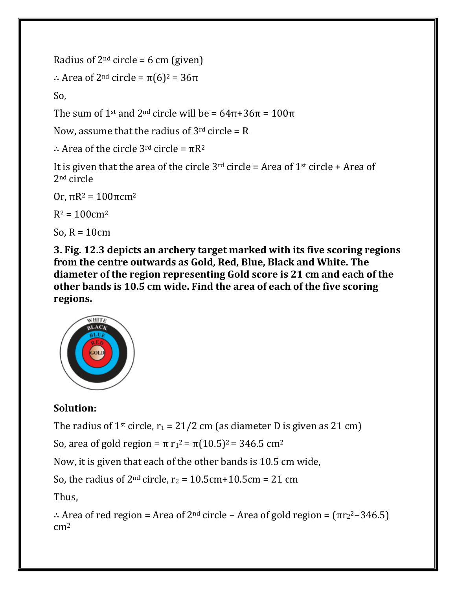Radius of  $2^{nd}$  circle = 6 cm (given)

```
∴ Area of 2nd circle = π(6)2 = 36π
```
So,

The sum of 1<sup>st</sup> and 2<sup>nd</sup> circle will be =  $64\pi + 36\pi = 100\pi$ 

Now, assume that the radius of  $3<sup>rd</sup>$  circle = R

∴ Area of the circle 3rd circle = πR<sup>2</sup>

It is given that the area of the circle  $3^{rd}$  circle = Area of  $1^{st}$  circle + Area of 2nd circle

Or, πR<sup>2</sup> = 100πcm<sup>2</sup>

 $R^2 = 100$  cm<sup>2</sup>

So,  $R = 10$ cm

**3. Fig. 12.3 depicts an archery target marked with its five scoring regions from the centre outwards as Gold, Red, Blue, Black and White. The diameter of the region representing Gold score is 21 cm and each of the other bands is 10.5 cm wide. Find the area of each of the five scoring regions.**



# **Solution:**

The radius of 1<sup>st</sup> circle,  $r_1 = 21/2$  cm (as diameter D is given as 21 cm)

So, area of gold region =  $\pi$  r<sub>1</sub><sup>2</sup> =  $\pi$ (10.5)<sup>2</sup> = 346.5 cm<sup>2</sup>

Now, it is given that each of the other bands is 10.5 cm wide,

So, the radius of  $2<sup>nd</sup>$  circle,  $r_2 = 10.5$ cm + 10.5cm = 21 cm

Thus,

```
∴ Area of red region = Area of 2<sup>nd</sup> circle – Area of gold region = (\pi r_2^2 - 346.5)\rm cm^2
```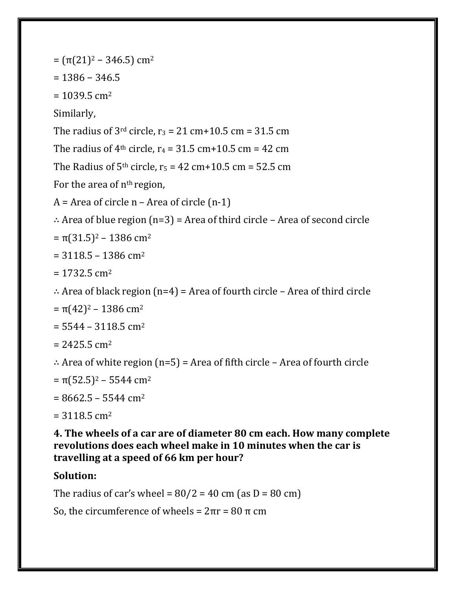$=$  (π(21)<sup>2</sup> – 346.5) cm<sup>2</sup>

 $= 1386 - 346.5$ 

 $= 1039.5$  cm<sup>2</sup>

Similarly,

The radius of  $3<sup>rd</sup>$  circle,  $r_3 = 21$  cm+10.5 cm = 31.5 cm

The radius of  $4<sup>th</sup>$  circle,  $r_4 = 31.5$  cm + 10.5 cm = 42 cm

The Radius of  $5<sup>th</sup>$  circle,  $r_5 = 42$  cm+10.5 cm = 52.5 cm

For the area of  $n<sup>th</sup>$  region,

 $A =$  Area of circle n – Area of circle  $(n-1)$ 

∴ Area of blue region (n=3) = Area of third circle – Area of second circle

 $= \pi(31.5)^2 - 1386$  cm<sup>2</sup>

 $= 3118.5 - 1386$  cm<sup>2</sup>

 $= 1732.5$  cm<sup>2</sup>

```
∴ Area of black region (n=4) = Area of fourth circle – Area of third circle
```
 $= \pi (42)^2 - 1386$  cm<sup>2</sup>

 $= 5544 - 3118.5$  cm<sup>2</sup>

 $= 2425.5$  cm<sup>2</sup>

∴ Area of white region (n=5) = Area of fifth circle – Area of fourth circle

- $= \pi (52.5)^2 5544$  cm<sup>2</sup>
- $= 8662.5 5544$  cm<sup>2</sup>
- $= 3118.5$  cm<sup>2</sup>

**4. The wheels of a car are of diameter 80 cm each. How many complete revolutions does each wheel make in 10 minutes when the car is travelling at a speed of 66 km per hour?**

# **Solution:**

The radius of car's wheel =  $80/2$  = 40 cm (as D = 80 cm)

So, the circumference of wheels =  $2πr = 80π$  cm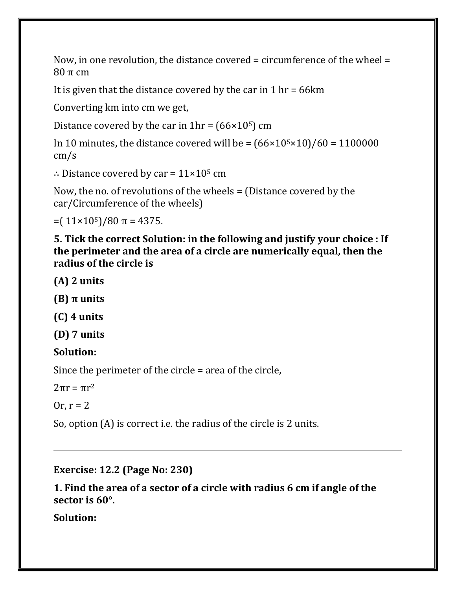Now, in one revolution, the distance covered = circumference of the wheel = 80 π cm

It is given that the distance covered by the car in 1 hr = 66km

Converting km into cm we get,

Distance covered by the car in  $1hr = (66 \times 10^5)$  cm

In 10 minutes, the distance covered will be =  $(66 \times 10^{5} \times 10)/60 = 1100000$ cm/s

∴ Distance covered by car =  $11 \times 10^5$  cm

Now, the no. of revolutions of the wheels = (Distance covered by the car/Circumference of the wheels)

 $=$  (11×10<sup>5</sup>)/80 π = 4375.

**5. Tick the correct Solution: in the following and justify your choice : If the perimeter and the area of a circle are numerically equal, then the radius of the circle is**

**(A) 2 units**

**(B) π units**

**(C) 4 units**

**(D) 7 units**

**Solution:**

Since the perimeter of the circle = area of the circle,

 $2\pi r = \pi r^2$ 

Or,  $r = 2$ 

So, option (A) is correct i.e. the radius of the circle is 2 units.

**Exercise: 12.2 (Page No: 230)**

**1. Find the area of a sector of a circle with radius 6 cm if angle of the sector is 60°.**

**Solution:**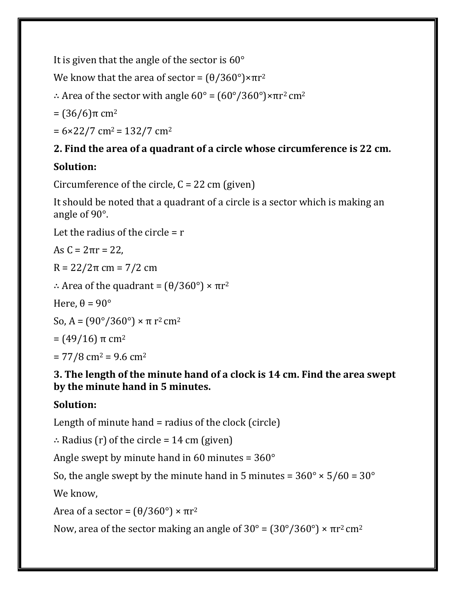It is given that the angle of the sector is 60°

We know that the area of sector =  $(\theta/360^{\circ}) \times \pi r^2$ 

∴ Area of the sector with angle  $60^\circ$  =  $(60^\circ/360^\circ) \times \pi r^2$  cm<sup>2</sup>

 $= (36/6)$ π cm<sup>2</sup>

 $= 6 \times 22 / 7$  cm<sup>2</sup> = 132/7 cm<sup>2</sup>

# **2. Find the area of a quadrant of a circle whose circumference is 22 cm.**

# **Solution:**

Circumference of the circle,  $C = 22$  cm (given)

It should be noted that a quadrant of a circle is a sector which is making an angle of 90°.

Let the radius of the circle  $= r$ 

As  $C = 2πr = 22$ .

R = 22/2π cm = 7/2 cm

∴ Area of the quadrant = (θ/360°) × πr<sup>2</sup>

Here,  $\theta = 90^\circ$ 

So, A =  $(90^{\circ}/360^{\circ}) \times \pi$  r<sup>2</sup> cm<sup>2</sup>

$$
= (49/16) \pi
$$
 cm<sup>2</sup>

 $= 77/8$  cm<sup>2</sup> = 9.6 cm<sup>2</sup>

### **3. The length of the minute hand of a clock is 14 cm. Find the area swept by the minute hand in 5 minutes.**

# **Solution:**

Length of minute hand = radius of the clock (circle)

∴ Radius (r) of the circle = 14 cm (given)

Angle swept by minute hand in 60 minutes  $= 360^{\circ}$ 

So, the angle swept by the minute hand in 5 minutes =  $360^{\circ} \times 5/60 = 30^{\circ}$ 

We know,

Area of a sector =  $(\theta/360^{\circ}) \times \pi r^2$ 

Now, area of the sector making an angle of  $30^\circ = (30^\circ/360^\circ) \times \pi r^2$  cm<sup>2</sup>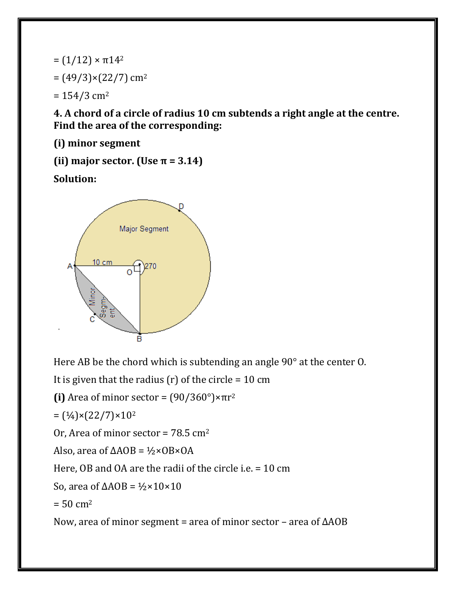$= (1/12) \times π14<sup>2</sup>$  $= (49/3) \times (22/7)$  cm<sup>2</sup>  $= 154/3$  cm<sup>2</sup>

**4. A chord of a circle of radius 10 cm subtends a right angle at the centre. Find the area of the corresponding:**

**(i) minor segment**

(ii) major sector. (Use  $\pi$  = 3.14)

**Solution:**



Here AB be the chord which is subtending an angle 90° at the center O.

It is given that the radius (r) of the circle =  $10 \text{ cm}$ 

**(i)** Area of minor sector =  $(90/360°) \times πr^2$ 

 $=(\frac{1}{4}) \times (22/7) \times 10^{2}$ 

Or, Area of minor sector =  $78.5 \text{ cm}^2$ 

Also, area of  $\triangle AOB = \frac{1}{2} \times OB \times OA$ 

Here, OB and OA are the radii of the circle i.e. = 10 cm

So, area of  $\triangle AOB = \frac{1}{2} \times 10 \times 10$ 

 $= 50 \, \text{cm}^2$ 

Now, area of minor segment = area of minor sector – area of ΔAOB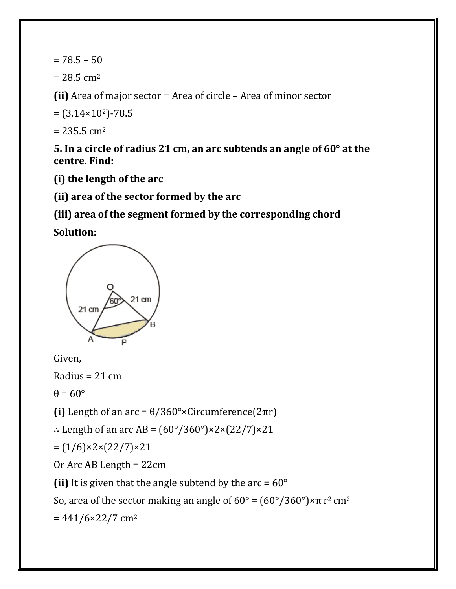$= 78.5 - 50$ 

 $= 28.5$  cm<sup>2</sup>

**(ii)** Area of major sector = Area of circle – Area of minor sector

 $= (3.14 \times 10^2) - 78.5$ 

 $= 235.5$  cm<sup>2</sup>

**5. In a circle of radius 21 cm, an arc subtends an angle of 60° at the centre. Find:**

**(i) the length of the arc**

**(ii) area of the sector formed by the arc**

**(iii) area of the segment formed by the corresponding chord**

**Solution:**



Given,

Radius =  $21 \text{ cm}$ 

 $\theta = 60^\circ$ 

(i) Length of an arc =  $\theta$ /360°×Circumference(2πr)

∴ Length of an arc AB =  $(60^{\circ}/360^{\circ}) \times 2 \times (22/7) \times 21$ 

 $=(1/6) \times 2 \times (22/7) \times 21$ 

Or Arc AB Length = 22cm

(ii) It is given that the angle subtend by the  $arc = 60^{\circ}$ 

So, area of the sector making an angle of  $60^\circ = (60^\circ/360^\circ) \times \pi r^2$  cm<sup>2</sup>

 $= 441/6 \times 22/7$  cm<sup>2</sup>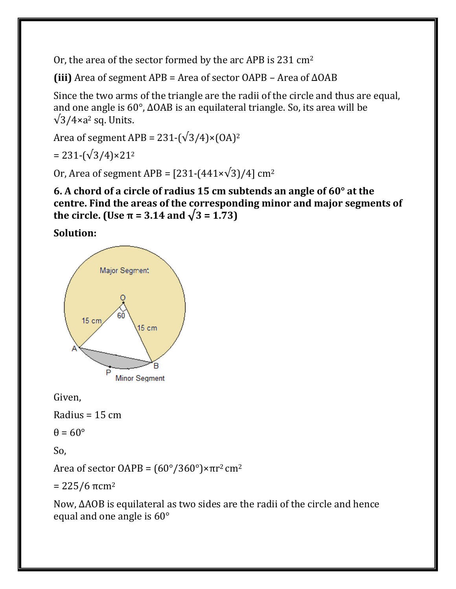Or, the area of the sector formed by the arc APB is 231 cm<sup>2</sup>

**(iii)** Area of segment APB = Area of sector OAPB – Area of ΔOAB

Since the two arms of the triangle are the radii of the circle and thus are equal, and one angle is 60°, ΔOAB is an equilateral triangle. So, its area will be  $\sqrt{3}/4\times a^2$  sq. Units.

Area of segment APB =  $231-(\sqrt{3}/4) \times (OA)^2$ 

 $= 231-(\sqrt{3}/4) \times 21^{2}$ 

Or, Area of segment APB =  $[231-(441\times\sqrt{3})/4]$  cm<sup>2</sup>

**6. A chord of a circle of radius 15 cm subtends an angle of 60° at the centre. Find the areas of the corresponding minor and major segments of the circle. (Use π = 3.14 and**  $\sqrt{3}$  **= 1.73)** 

**Solution:**



Given,

Radius =  $15 \text{ cm}$ 

 $\theta = 60^\circ$ 

So,

Area of sector OAPB =  $(60^{\circ}/360^{\circ}) \times \pi r^2$  cm<sup>2</sup>

 $= 225/6$  πcm<sup>2</sup>

Now, ΔAOB is equilateral as two sides are the radii of the circle and hence equal and one angle is 60°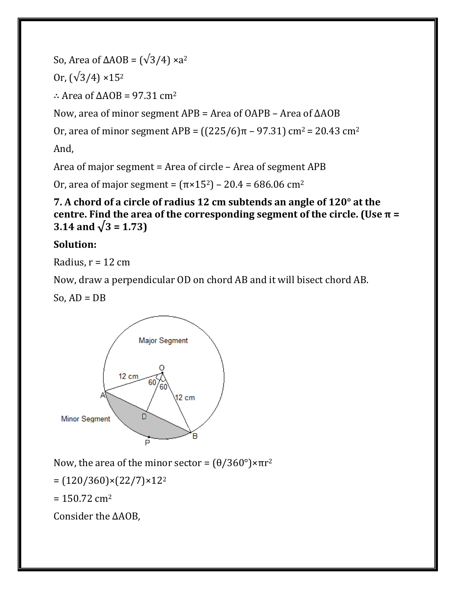So, Area of ΔAOB =  $(\sqrt{3}/4) \times a^2$ 

Or,  $(\sqrt{3}/4) \times 15^2$ 

: Area of  $\triangle AOB = 97.31 \text{ cm}^2$ 

Now, area of minor segment APB = Area of OAPB – Area of ΔAOB

Or, area of minor segment APB =  $((225/6)π - 97.31)$  cm<sup>2</sup> = 20.43 cm<sup>2</sup>

And,

Area of major segment = Area of circle – Area of segment APB

Or, area of major segment =  $(\pi \times 15^2)$  – 20.4 = 686.06 cm<sup>2</sup>

**7. A chord of a circle of radius 12 cm subtends an angle of 120° at the centre. Find the area of the corresponding segment of the circle. (Use π =** 3.14 and  $\sqrt{3} = 1.73$ 

## **Solution:**

Radius,  $r = 12$  cm

Now, draw a perpendicular OD on chord AB and it will bisect chord AB.

So,  $AD = DB$ 



Now, the area of the minor sector =  $(θ/360°)$ ×πr<sup>2</sup>

 $=(120/360)\times(22/7)\times12^{2}$ 

 $= 150.72$  cm<sup>2</sup>

Consider the ΔAOB,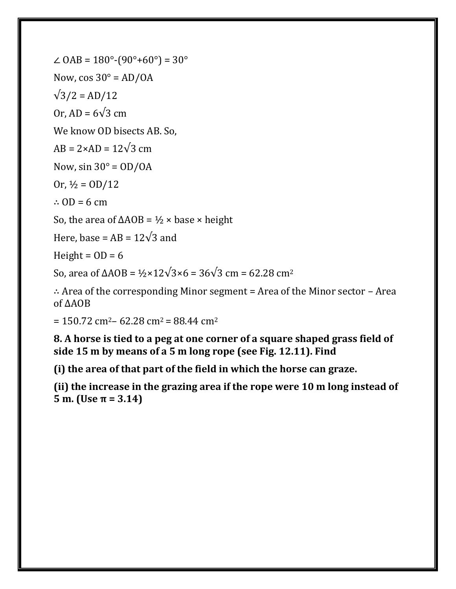∠ OAB = 180°-(90°+60°) = 30° Now,  $cos 30^\circ = AD/OA$  $\sqrt{3}/2 = AD/12$ Or, AD =  $6\sqrt{3}$  cm We know OD bisects AB. So,  $AB = 2 \times AD = 12\sqrt{3}$  cm Now,  $sin 30^\circ = OD/OA$ Or,  $\frac{1}{2} =$  OD/12 ∴ OD = 6 cm So, the area of  $\triangle AOB = \frac{1}{2} \times \text{base} \times \text{height}$ Here, base =  $AB = 12\sqrt{3}$  and

Height =  $OD = 6$ 

So, area of ΔAOB =  $\frac{1}{2}$ ×12 $\sqrt{3}$ ×6 = 36 $\sqrt{3}$  cm = 62.28 cm<sup>2</sup>

∴ Area of the corresponding Minor segment = Area of the Minor sector – Area of ΔAOB

 $= 150.72$  cm<sup>2</sup> – 62.28 cm<sup>2</sup> = 88.44 cm<sup>2</sup>

**8. A horse is tied to a peg at one corner of a square shaped grass field of side 15 m by means of a 5 m long rope (see Fig. 12.11). Find**

**(i) the area of that part of the field in which the horse can graze.**

**(ii) the increase in the grazing area if the rope were 10 m long instead of 5 m. (Use π = 3.14)**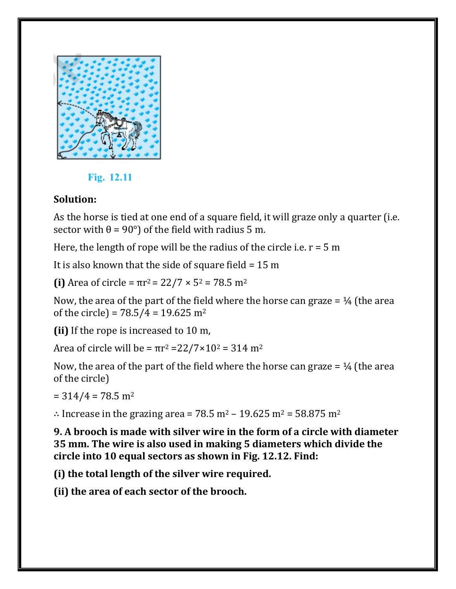

### Fig. 12.11

## **Solution:**

As the horse is tied at one end of a square field, it will graze only a quarter (i.e. sector with  $\theta = 90^{\circ}$  of the field with radius 5 m.

Here, the length of rope will be the radius of the circle i.e.  $r = 5$  m

It is also known that the side of square field  $= 15$  m

**(i)** Area of circle =  $\pi r^2 = 22/7 \times 5^2 = 78.5 \text{ m}^2$ 

Now, the area of the part of the field where the horse can graze  $=$  1/4 (the area of the circle) =  $78.5/4 = 19.625$  m<sup>2</sup>

**(ii)** If the rope is increased to 10 m,

Area of circle will be =  $πr^2 = 22/7 × 10^2 = 314 m^2$ 

Now, the area of the part of the field where the horse can graze  $=$   $\frac{1}{4}$  (the area of the circle)

 $= 314/4 = 78.5$  m<sup>2</sup>

∴ Increase in the grazing area =  $78.5$  m<sup>2</sup> – 19.625 m<sup>2</sup> = 58.875 m<sup>2</sup>

**9. A brooch is made with silver wire in the form of a circle with diameter 35 mm. The wire is also used in making 5 diameters which divide the circle into 10 equal sectors as shown in Fig. 12.12. Find:**

**(i) the total length of the silver wire required.**

**(ii) the area of each sector of the brooch.**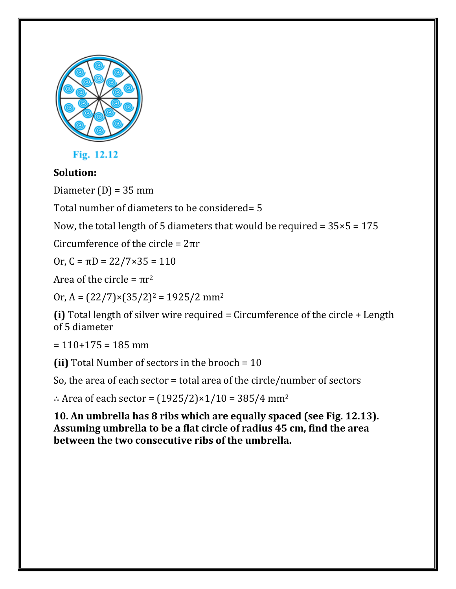

Fig. 12.12

# **Solution:**

Diameter  $(D) = 35$  mm

Total number of diameters to be considered= 5

Now, the total length of 5 diameters that would be required =  $35 \times 5 = 175$ 

Circumference of the circle = 2πr

Or,  $C = \pi D = 22/7 \times 35 = 110$ 

Area of the circle =  $πr^2$ 

Or,  $A = (22/7) \times (35/2)^2 = 1925/2$  mm<sup>2</sup>

**(i)** Total length of silver wire required = Circumference of the circle + Length of 5 diameter

 $= 110+175 = 185$  mm

**(ii)** Total Number of sectors in the brooch = 10

So, the area of each sector = total area of the circle/number of sectors

∴ Area of each sector =  $(1925/2)$ ×1/10 = 385/4 mm<sup>2</sup>

**10. An umbrella has 8 ribs which are equally spaced (see Fig. 12.13). Assuming umbrella to be a flat circle of radius 45 cm, find the area between the two consecutive ribs of the umbrella.**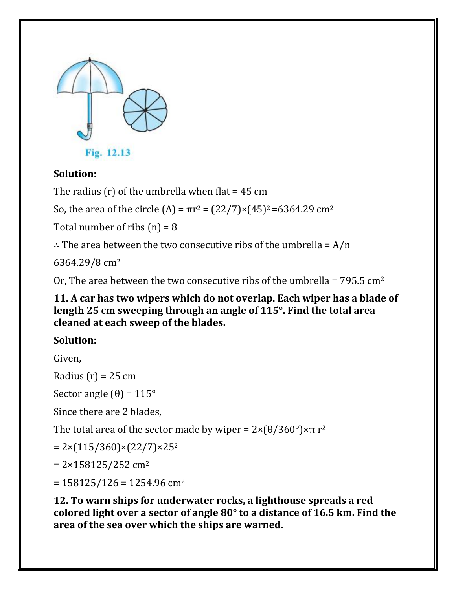

### **Solution:**

The radius  $(r)$  of the umbrella when flat = 45 cm

So, the area of the circle (A) =  $\pi r^2 = (22/7) \times (45)^2 = 6364.29$  cm<sup>2</sup>

Total number of ribs  $(n) = 8$ 

∴ The area between the two consecutive ribs of the umbrella =  $A/n$ 

6364.29/8 cm<sup>2</sup>

Or, The area between the two consecutive ribs of the umbrella =  $795.5 \text{ cm}^2$ 

#### **11. A car has two wipers which do not overlap. Each wiper has a blade of length 25 cm sweeping through an angle of 115°. Find the total area cleaned at each sweep of the blades.**

# **Solution:**

Given,

Radius  $(r) = 25$  cm

Sector angle  $(\theta) = 115^{\circ}$ 

Since there are 2 blades,

The total area of the sector made by wiper =  $2 \times (\theta/360^{\circ}) \times \pi r^2$ 

 $= 2 \times (115/360) \times (22/7) \times 25^{2}$ 

 $= 2 \times 158125 / 252$  cm<sup>2</sup>

 $= 158125/126 = 1254.96$  cm<sup>2</sup>

**12. To warn ships for underwater rocks, a lighthouse spreads a red colored light over a sector of angle 80° to a distance of 16.5 km. Find the area of the sea over which the ships are warned.**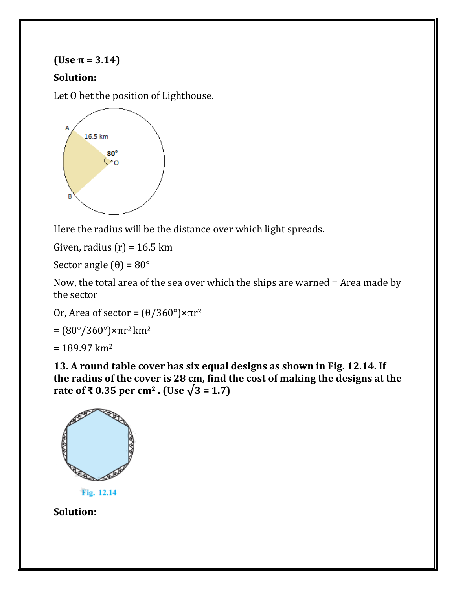## $(Use \pi = 3.14)$

## **Solution:**

Let O bet the position of Lighthouse.



Here the radius will be the distance over which light spreads.

Given, radius  $(r) = 16.5$  km

Sector angle  $(\theta) = 80^{\circ}$ 

Now, the total area of the sea over which the ships are warned = Area made by the sector

Or, Area of sector =  $(\theta/360^\circ) \times \pi r^2$ 

$$
= (80^\circ / 360^\circ) \times \pi r^2 \,\mathrm{km^2}
$$

 $= 189.97$  km<sup>2</sup>

**13. A round table cover has six equal designs as shown in Fig. 12.14. If the radius of the cover is 28 cm, find the cost of making the designs at the rate of ₹ 0.35 per cm<sup>2</sup> <b>. (Use**  $\sqrt{3} = 1.7$ )



Fig. 12.14

**Solution:**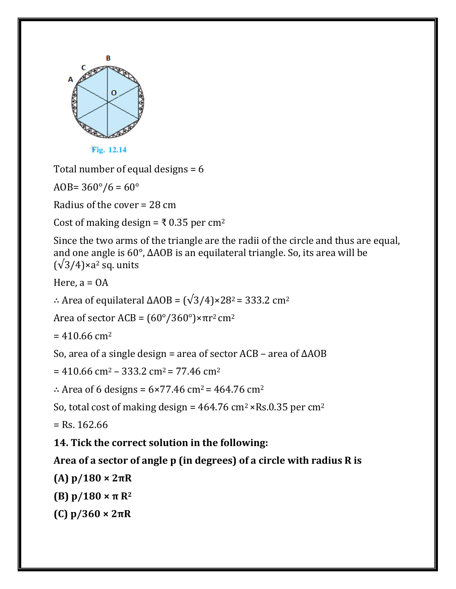

Total number of equal designs = 6

AOB=  $360^{\circ}/6 = 60^{\circ}$ 

Radius of the cover = 28 cm

Cost of making design =  $\bar{\tau}$  0.35 per cm<sup>2</sup>

Since the two arms of the triangle are the radii of the circle and thus are equal, and one angle is 60°, ΔAOB is an equilateral triangle. So, its area will be  $(\sqrt{3}/4)$ ×a<sup>2</sup> sq. units

Here,  $a = OA$ 

∴ Area of equilateral  $\triangle AOB = (\sqrt{3}/4) \times 28^2 = 333.2$  cm<sup>2</sup>

Area of sector ACB =  $(60^{\circ}/360^{\circ}) \times \pi r^2$  cm<sup>2</sup>

 $= 410.66$  cm<sup>2</sup>

So, area of a single design = area of sector ACB – area of ΔAOB

 $= 410.66$  cm<sup>2</sup> – 333.2 cm<sup>2</sup> = 77.46 cm<sup>2</sup>

∴ Area of 6 designs =  $6 \times 77.46$  cm<sup>2</sup> = 464.76 cm<sup>2</sup>

So, total cost of making design =  $464.76 \text{ cm}^2 \times \text{Rs}.0.35 \text{ per cm}^2$ 

 $=$  Rs. 162.66

**14. Tick the correct solution in the following:**

### **Area of a sector of angle p (in degrees) of a circle with radius R is**

**(A) p/180 × 2πR**

**(B) p/180 × π R<sup>2</sup>**

**(C) p/360 × 2πR**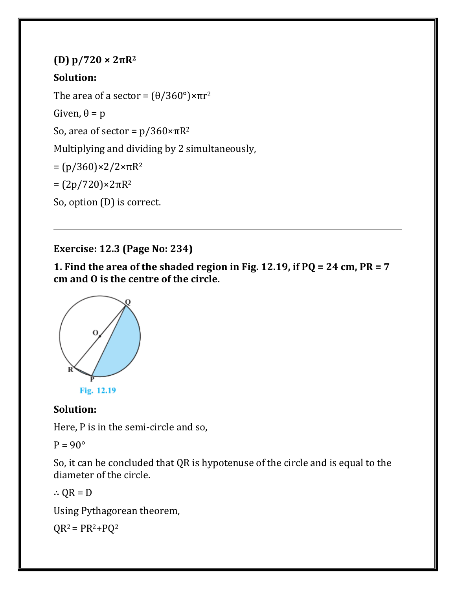```
(D) p/720 × 2πR2
Solution:
The area of a sector = (\theta/360^\circ) \times \pi r^2Given, \theta = pSo, area of sector = p/360 \times \pi R^2Multiplying and dividing by 2 simultaneously,
= (p/360) \times 2/2 \times πR^2= (2p/720)×2πR2
So, option (D) is correct.
```
**Exercise: 12.3 (Page No: 234)**

**1. Find the area of the shaded region in Fig. 12.19, if PQ = 24 cm, PR = 7 cm and O is the centre of the circle.**



### **Solution:**

Here, P is in the semi-circle and so,

 $P = 90^\circ$ 

So, it can be concluded that QR is hypotenuse of the circle and is equal to the diameter of the circle.

∴ QR = D

Using Pythagorean theorem,

 $QR^2 = PR^2 + PQ^2$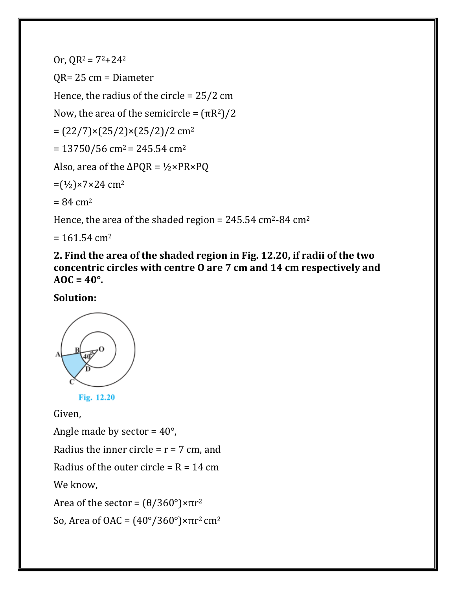Or,  $QR^2 = 7^2 + 24^2$ QR= 25 cm = Diameter Hence, the radius of the circle = 25/2 cm Now, the area of the semicircle =  $(\pi R^2)/2$  $=(22/7)\times(25/2)\times(25/2)/2$  cm<sup>2</sup>  $= 13750/56$  cm<sup>2</sup> = 245.54 cm<sup>2</sup> Also, area of the  $\Delta PQR = \frac{1}{2} \times PR \times PQ$  $=(\frac{1}{2}) \times 7 \times 24$  cm<sup>2</sup>  $= 84 \, \text{cm}^2$ 

Hence, the area of the shaded region =  $245.54 \text{ cm}^2$ -84 cm<sup>2</sup>

 $= 161.54$  cm<sup>2</sup>

**2. Find the area of the shaded region in Fig. 12.20, if radii of the two concentric circles with centre O are 7 cm and 14 cm respectively and AOC = 40°.**

**Solution:**



Fig. 12.20

Given,

Angle made by sector =  $40^{\circ}$ ,

Radius the inner circle =  $r = 7$  cm, and

Radius of the outer circle =  $R = 14$  cm

We know,

Area of the sector =  $(\theta/360^\circ) \times \pi r^2$ 

So, Area of OAC =  $(40^\circ/360^\circ) \times \pi r^2$  cm<sup>2</sup>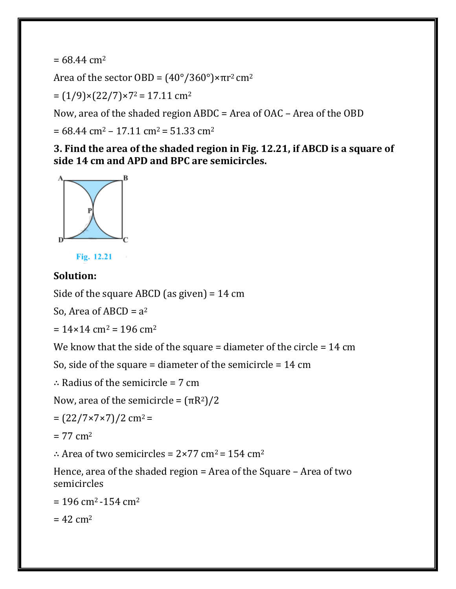$= 68.44$  cm<sup>2</sup>

Area of the sector OBD =  $(40^{\circ}/360^{\circ}) \times \pi r^2$  cm<sup>2</sup>

 $= (1/9) \times (22/7) \times 7^2 = 17.11$  cm<sup>2</sup>

Now, area of the shaded region ABDC = Area of OAC – Area of the OBD

 $= 68.44$  cm<sup>2</sup> – 17.11 cm<sup>2</sup> = 51.33 cm<sup>2</sup>

**3. Find the area of the shaded region in Fig. 12.21, if ABCD is a square of side 14 cm and APD and BPC are semicircles.**





#### **Solution:**

Side of the square ABCD (as given) = 14 cm

So, Area of ABCD =  $a^2$ 

 $= 14 \times 14$  cm<sup>2</sup> = 196 cm<sup>2</sup>

We know that the side of the square = diameter of the circle = 14 cm

So, side of the square = diameter of the semicircle =  $14 \text{ cm}$ 

```
∴ Radius of the semicircle = 7 cm
```
Now, area of the semicircle =  $(\pi R^2)/2$ 

```
=(22/7\times7\times7)/2 cm<sup>2</sup> =
```
 $= 77$  cm<sup>2</sup>

∴ Area of two semicircles =  $2 \times 77$  cm<sup>2</sup> = 154 cm<sup>2</sup>

Hence, area of the shaded region = Area of the Square – Area of two semicircles

```
= 196 cm<sup>2</sup> -154 cm<sup>2</sup>
```
 $= 42$  cm<sup>2</sup>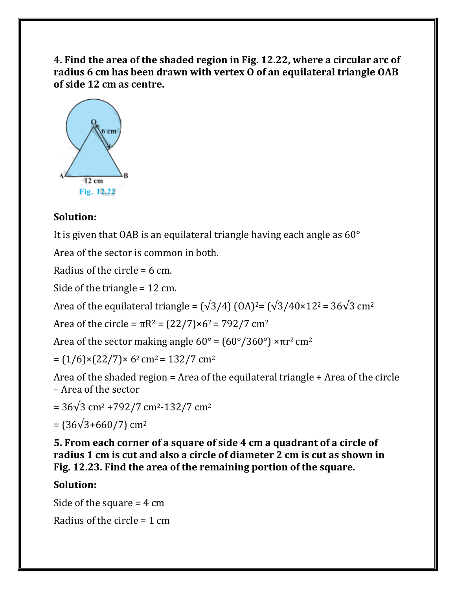**4. Find the area of the shaded region in Fig. 12.22, where a circular arc of radius 6 cm has been drawn with vertex O of an equilateral triangle OAB of side 12 cm as centre.**



#### **Solution:**

It is given that OAB is an equilateral triangle having each angle as 60°

Area of the sector is common in both.

Radius of the circle = 6 cm.

Side of the triangle = 12 cm.

Area of the equilateral triangle =  $(\sqrt{3}/4)$  (OA)<sup>2</sup>=  $(\sqrt{3}/40 \times 12^2)$  = 36 $\sqrt{3}$  cm<sup>2</sup>

Area of the circle =  $\pi R^2 = (22/7) \times 6^2 = 792/7$  cm<sup>2</sup>

Area of the sector making angle  $60^{\circ} = (60^{\circ}/360^{\circ}) \times \pi r^2$  cm<sup>2</sup>

 $= (1/6) \times (22/7) \times 6^2$  cm<sup>2</sup> = 132/7 cm<sup>2</sup>

Area of the shaded region = Area of the equilateral triangle + Area of the circle – Area of the sector

=  $36\sqrt{3}$  cm<sup>2</sup> +792/7 cm<sup>2</sup>-132/7 cm<sup>2</sup>

 $=$  (36 $\sqrt{3+660/7}$ ) cm<sup>2</sup>

**5. From each corner of a square of side 4 cm a quadrant of a circle of radius 1 cm is cut and also a circle of diameter 2 cm is cut as shown in Fig. 12.23. Find the area of the remaining portion of the square.**

### **Solution:**

Side of the square = 4 cm

Radius of the circle = 1 cm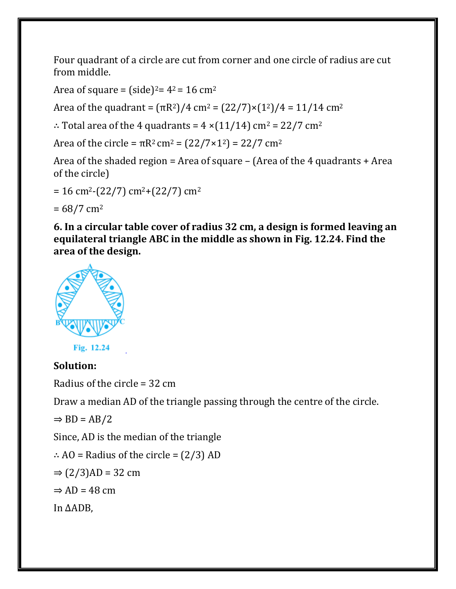Four quadrant of a circle are cut from corner and one circle of radius are cut from middle.

Area of square =  $(side)^2 = 4^2 = 16$  cm<sup>2</sup>

Area of the quadrant =  $(\pi R^2)/4$  cm<sup>2</sup> =  $(22/7) \times (1^2)/4 = 11/14$  cm<sup>2</sup>

∴ Total area of the 4 quadrants =  $4 \times (11/14)$  cm<sup>2</sup> = 22/7 cm<sup>2</sup>

Area of the circle =  $\pi R^2$  cm<sup>2</sup> =  $(22/7 \times 1^2)$  = 22/7 cm<sup>2</sup>

Area of the shaded region = Area of square – (Area of the 4 quadrants + Area of the circle)

 $= 16$  cm<sup>2</sup>-(22/7) cm<sup>2</sup>+(22/7) cm<sup>2</sup>

 $= 68/7$  cm<sup>2</sup>

**6. In a circular table cover of radius 32 cm, a design is formed leaving an equilateral triangle ABC in the middle as shown in Fig. 12.24. Find the area of the design.**



Fig. 12.24

#### **Solution:**

Radius of the circle = 32 cm

Draw a median AD of the triangle passing through the centre of the circle.

 $\Rightarrow$  BD = AB/2

Since, AD is the median of the triangle

∴ AO = Radius of the circle =  $(2/3)$  AD

 $\Rightarrow$  (2/3)AD = 32 cm

 $\Rightarrow$  AD = 48 cm

In ΔADB,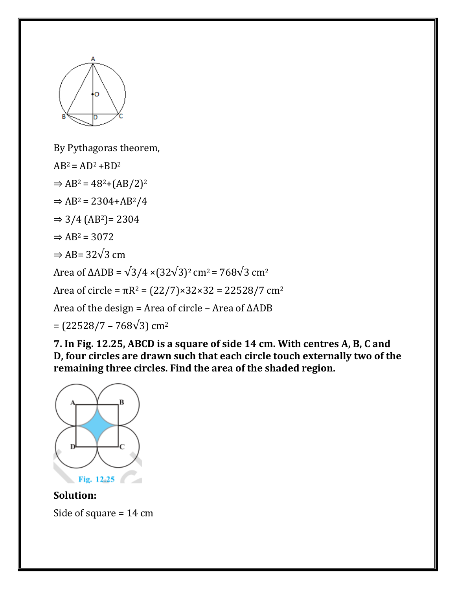

By Pythagoras theorem,

 $AB^2 = AD^2 + BD^2$ 

 $\Rightarrow$  AB<sup>2</sup> = 48<sup>2</sup>+(AB/2)<sup>2</sup>

 $\Rightarrow$  AB<sup>2</sup> = 2304+AB<sup>2</sup>/4

 $\Rightarrow$  3/4 (AB<sup>2</sup>) = 2304

 $\Rightarrow$  AB<sup>2</sup> = 3072

 $\Rightarrow$  AB= 32 $\sqrt{3}$  cm

Area of  $\triangle ADB = \sqrt{3}/4 \times (32\sqrt{3})^2$  cm<sup>2</sup> = 768 $\sqrt{3}$  cm<sup>2</sup>

Area of circle =  $\pi R^2 = (22/7) \times 32 \times 32 = 22528/7$  cm<sup>2</sup>

Area of the design = Area of circle – Area of ΔADB

 $=$  (22528/7 – 768√3) cm<sup>2</sup>

**7. In Fig. 12.25, ABCD is a square of side 14 cm. With centres A, B, C and D, four circles are drawn such that each circle touch externally two of the remaining three circles. Find the area of the shaded region.**



#### **Solution:**

Side of square = 14 cm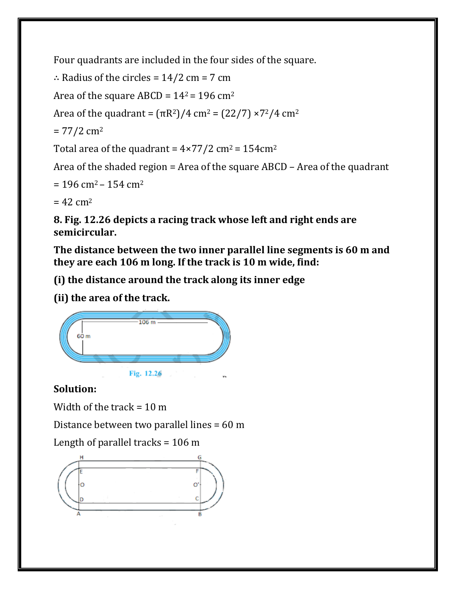Four quadrants are included in the four sides of the square.

```
∴ Radius of the circles = 14/2 cm = 7 cm
```
Area of the square ABCD =  $14^2$  = 196 cm<sup>2</sup>

Area of the quadrant =  $(\pi R^2)/4$  cm<sup>2</sup> =  $(22/7) \times 7^2/4$  cm<sup>2</sup>

 $= 77/2$  cm<sup>2</sup>

Total area of the quadrant =  $4 \times 77/2$  cm<sup>2</sup> = 154cm<sup>2</sup>

Area of the shaded region = Area of the square ABCD – Area of the quadrant

```
= 196 cm<sup>2</sup> – 154 cm<sup>2</sup>
```
 $= 42$  cm<sup>2</sup>

**8. Fig. 12.26 depicts a racing track whose left and right ends are semicircular.**

**The distance between the two inner parallel line segments is 60 m and they are each 106 m long. If the track is 10 m wide, find:**

**(i) the distance around the track along its inner edge**

**(ii) the area of the track.**



# **Solution:**

Width of the track  $= 10$  m

Distance between two parallel lines = 60 m

Length of parallel tracks = 106 m

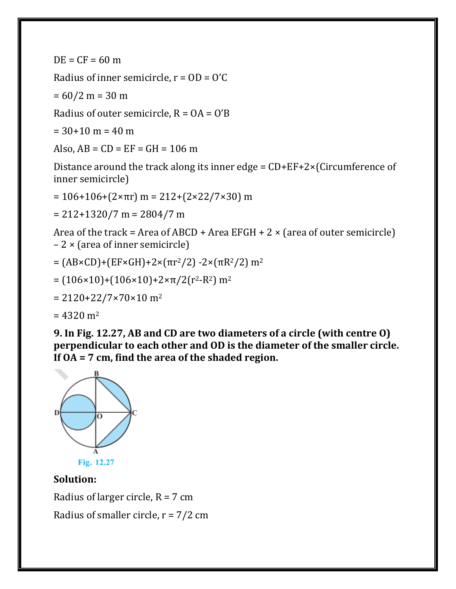$DE = CF = 60 m$ 

Radius of inner semicircle,  $r = OD = O'C$ 

 $= 60/2 m = 30 m$ 

Radius of outer semicircle,  $R = OA = O'B$ 

 $= 30+10$  m  $= 40$  m

Also,  $AB = CD = EF = GH = 106 m$ 

Distance around the track along its inner edge = CD+EF+2×(Circumference of inner semicircle)

 $= 106+106+(2×πr)$  m = 212+(2×22/7×30) m

 $= 212+1320/7$  m = 2804/7 m

Area of the track = Area of ABCD + Area EFGH +  $2 \times$  (area of outer semicircle) – 2 × (area of inner semicircle)

$$
= (AB \times CD) + (EF \times GH) + 2 \times (\pi r^2 / 2) - 2 \times (\pi R^2 / 2) m^2
$$

$$
= (106 \times 10) + (106 \times 10) + 2 \times \pi / 2(r^2 - R^2) \, \text{m}^2
$$

$$
= 2120+22/7\times70\times10
$$
 m<sup>2</sup>

 $= 4320$  m<sup>2</sup>

**9. In Fig. 12.27, AB and CD are two diameters of a circle (with centre O) perpendicular to each other and OD is the diameter of the smaller circle. If OA = 7 cm, find the area of the shaded region.**



### **Solution:**

Radius of larger circle,  $R = 7$  cm Radius of smaller circle,  $r = 7/2$  cm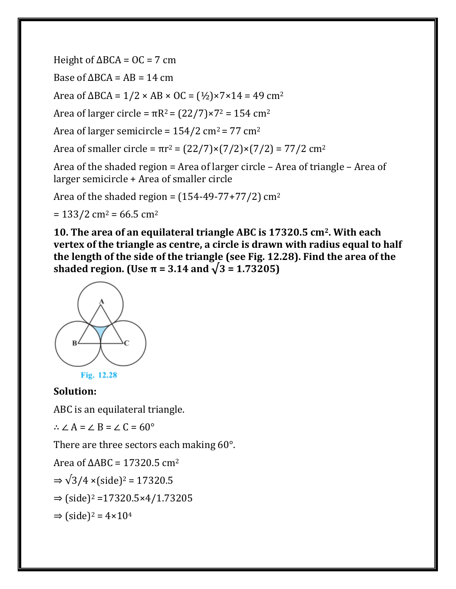Height of  $\triangle BCA = OC = 7$  cm

Base of  $\triangle BCA = AB = 14$  cm

Area of  $\Delta BCA = 1/2 \times AB \times OC = (1/2) \times 7 \times 14 = 49 \text{ cm}^2$ 

Area of larger circle =  $\pi R^2 = (22/7) \times 7^2 = 154$  cm<sup>2</sup>

Area of larger semicircle =  $154/2$  cm<sup>2</sup> =  $77$  cm<sup>2</sup>

Area of smaller circle =  $\pi r^2 = (22/7) \times (7/2) \times (7/2) = 77/2$  cm<sup>2</sup>

Area of the shaded region = Area of larger circle – Area of triangle – Area of larger semicircle + Area of smaller circle

Area of the shaded region =  $(154-49-77+77/2)$  cm<sup>2</sup>

 $= 133/2$  cm<sup>2</sup> = 66.5 cm<sup>2</sup>

**10. The area of an equilateral triangle ABC is 17320.5 cm2. With each vertex of the triangle as centre, a circle is drawn with radius equal to half the length of the side of the triangle (see Fig. 12.28). Find the area of the shaded region. (Use π = 3.14 and √3 = 1.73205)**





#### **Solution:**

ABC is an equilateral triangle.

∴  $\angle A = \angle B = \angle C = 60^\circ$ 

There are three sectors each making 60°.

Area of  $ΔABC = 17320.5$  cm<sup>2</sup>

$$
\Rightarrow \sqrt{3}/4 \times (\text{side})^2 = 17320.5
$$

 $\Rightarrow$  (side)<sup>2</sup> = 17320.5×4/1.73205

 $\Rightarrow$  (side)<sup>2</sup> = 4×10<sup>4</sup>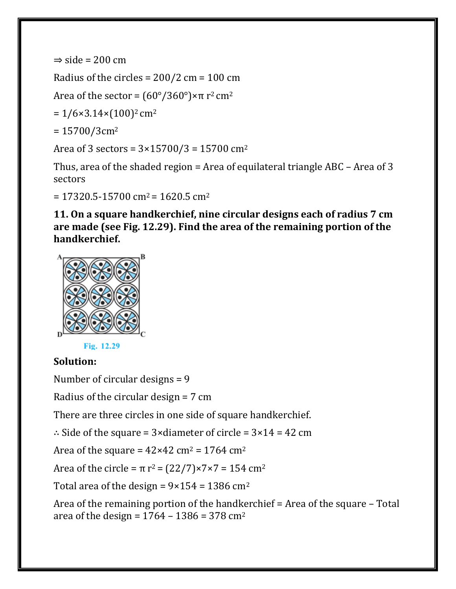```
\Rightarrow side = 200 cm
```
Radius of the circles =  $200/2$  cm =  $100$  cm

Area of the sector =  $(60^{\circ}/360^{\circ}) \times \pi$  r<sup>2</sup> cm<sup>2</sup>

 $= 1/6 \times 3.14 \times (100)^2$  cm<sup>2</sup>

```
= 15700/3cm<sup>2</sup>
```
Area of 3 sectors =  $3 \times 15700/3 = 15700$  cm<sup>2</sup>

Thus, area of the shaded region = Area of equilateral triangle ABC – Area of 3 sectors

 $= 17320.5 - 15700$  cm<sup>2</sup> = 1620.5 cm<sup>2</sup>

**11. On a square handkerchief, nine circular designs each of radius 7 cm are made (see Fig. 12.29). Find the area of the remaining portion of the handkerchief.**



Fig. 12.29

### **Solution:**

Number of circular designs = 9

Radius of the circular design = 7 cm

There are three circles in one side of square handkerchief.

∴ Side of the square =  $3 \times$ diameter of circle =  $3 \times 14 = 42$  cm

Area of the square =  $42 \times 42$  cm<sup>2</sup> = 1764 cm<sup>2</sup>

Area of the circle =  $π$  r<sup>2</sup> =  $(22/7)×7×7 = 154$  cm<sup>2</sup>

Total area of the design =  $9 \times 154 = 1386$  cm<sup>2</sup>

Area of the remaining portion of the handkerchief = Area of the square – Total area of the design =  $1764 - 1386 = 378$  cm<sup>2</sup>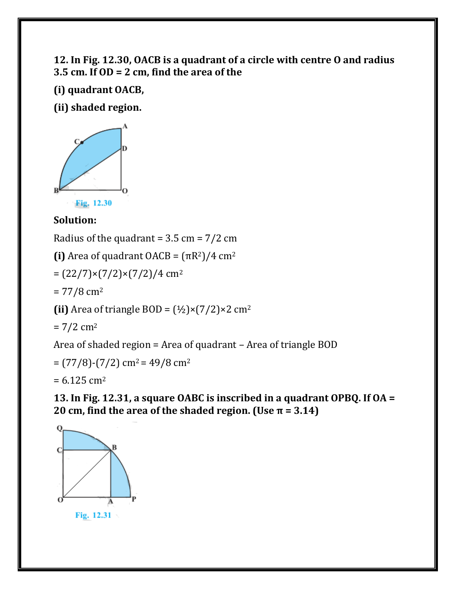### **12. In Fig. 12.30, OACB is a quadrant of a circle with centre O and radius 3.5 cm. If OD = 2 cm, find the area of the**

**(i) quadrant OACB,**

**(ii) shaded region.**



## **Solution:**

Radius of the quadrant =  $3.5 \text{ cm} = 7/2 \text{ cm}$ 

**(i)** Area of quadrant  $OACB = (\pi R^2)/4 \text{ cm}^2$ 

 $=(22/7)\times(7/2)\times(7/2)/4$  cm<sup>2</sup>

 $= 77/8$  cm<sup>2</sup>

(ii) Area of triangle BOD =  $(\frac{1}{2}) \times (7/2) \times 2$  cm<sup>2</sup>

 $= 7/2$  cm<sup>2</sup>

Area of shaded region = Area of quadrant – Area of triangle BOD

 $=$  (77/8)-(7/2) cm<sup>2</sup> = 49/8 cm<sup>2</sup>

 $= 6.125$  cm<sup>2</sup>

**13. In Fig. 12.31, a square OABC is inscribed in a quadrant OPBQ. If OA = 20 cm, find the area of the shaded region. (Use**  $\pi$  **= 3.14)** 

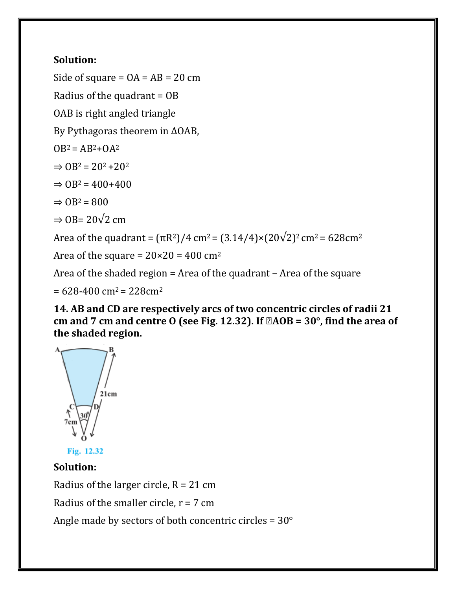## **Solution:**

Side of square  $= OA = AB = 20$  cm

Radius of the quadrant = OB

OAB is right angled triangle

By Pythagoras theorem in ΔOAB,

 $OB^2 = AB^2 + OA^2$ 

 $\Rightarrow$  OB<sup>2</sup> = 20<sup>2</sup> + 20<sup>2</sup>

 $\Rightarrow$  OB<sup>2</sup> = 400+400

 $\Rightarrow$  OB<sup>2</sup> = 800

 $\Rightarrow$  OB= 20 $\sqrt{2}$  cm

Area of the quadrant =  $(\pi R^2)/4$  cm<sup>2</sup> =  $(3.14/4) \times (20\sqrt{2})^2$  cm<sup>2</sup> = 628cm<sup>2</sup>

Area of the square =  $20 \times 20 = 400$  cm<sup>2</sup>

Area of the shaded region = Area of the quadrant – Area of the square

 $= 628 - 400$  cm<sup>2</sup> = 228cm<sup>2</sup>

**14. AB and CD are respectively arcs of two concentric circles of radii 21**  cm and 7 cm and centre O (see Fig. 12.32). If  $\mathbb{Z}AOB = 30^\circ$ , find the area of **the shaded region.**



Fig. 12.32

### **Solution:**

Radius of the larger circle,  $R = 21$  cm

Radius of the smaller circle,  $r = 7$  cm

Angle made by sectors of both concentric circles =  $30^{\circ}$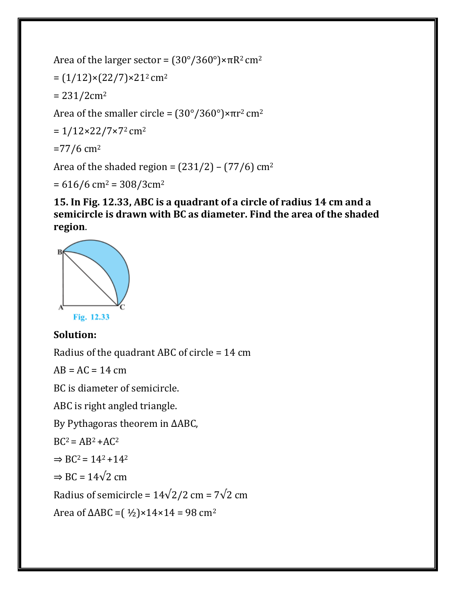```
Area of the larger sector = (30^{\circ}/360^{\circ}) \times \pi R^2 cm<sup>2</sup>
= (1/12) \times (22/7) \times 21^2 cm<sup>2</sup>
= 231/2cm<sup>2</sup>
Area of the smaller circle = (30^{\circ}/360^{\circ}) \times \pi r^2 cm<sup>2</sup>
= 1/12\times22/7\times72 cm<sup>2</sup>
=77/6 cm<sup>2</sup>
Area of the shaded region = (231/2) – (77/6) cm<sup>2</sup>
```
 $= 616/6$  cm<sup>2</sup> = 308/3cm<sup>2</sup>

**15. In Fig. 12.33, ABC is a quadrant of a circle of radius 14 cm and a semicircle is drawn with BC as diameter. Find the area of the shaded region**.



### **Solution:**

Radius of the quadrant ABC of circle = 14 cm

 $AB = AC = 14$  cm

BC is diameter of semicircle.

ABC is right angled triangle.

By Pythagoras theorem in ΔABC,

 $BC^2 = AB^2 + AC^2$ 

 $\Rightarrow BC^2 = 14^2 + 14^2$ 

 $\Rightarrow BC = 14\sqrt{2}$  cm

Radius of semicircle =  $14\sqrt{2}/2$  cm =  $7\sqrt{2}$  cm

Area of ΔABC =  $(1/2) \times 14 \times 14 = 98$  cm<sup>2</sup>